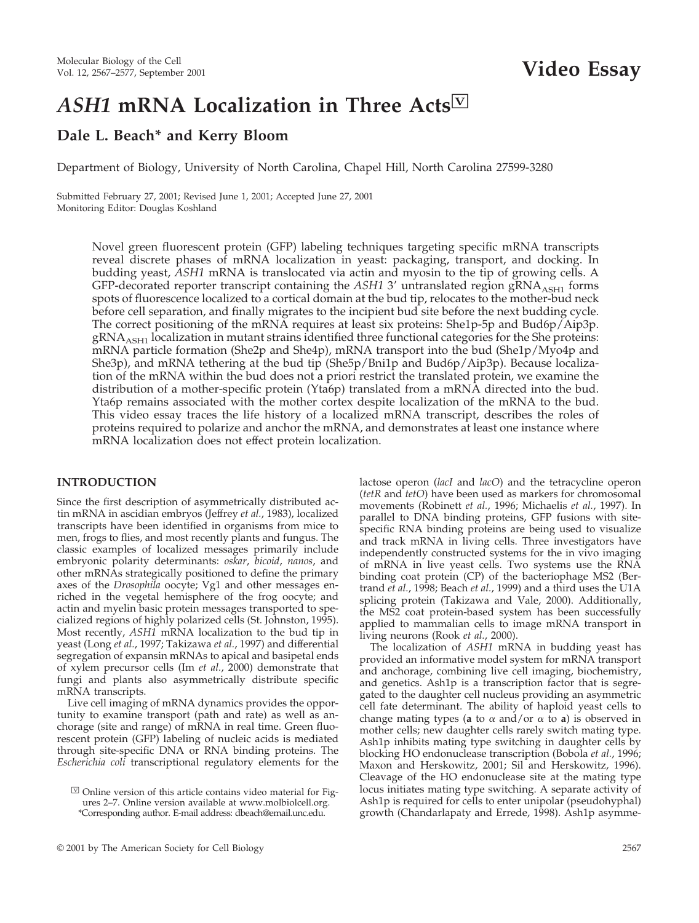# *ASH1* **mRNA Localization in Three Acts**<sup>Ⅳ</sup>

# **Dale L. Beach\* and Kerry Bloom**

Department of Biology, University of North Carolina, Chapel Hill, North Carolina 27599-3280

Submitted February 27, 2001; Revised June 1, 2001; Accepted June 27, 2001 Monitoring Editor: Douglas Koshland

> Novel green fluorescent protein (GFP) labeling techniques targeting specific mRNA transcripts reveal discrete phases of mRNA localization in yeast: packaging, transport, and docking. In budding yeast, *ASH1* mRNA is translocated via actin and myosin to the tip of growing cells. A GFP-decorated reporter transcript containing the ASH1 3' untranslated region gRNA<sub>ASH1</sub> forms spots of fluorescence localized to a cortical domain at the bud tip, relocates to the mother-bud neck before cell separation, and finally migrates to the incipient bud site before the next budding cycle. The correct positioning of the mRNA requires at least six proteins: She1p-5p and Bud6p/Aip3p.  $gRNA<sub>ASH1</sub>$  localization in mutant strains identified three functional categories for the She proteins: mRNA particle formation (She2p and She4p), mRNA transport into the bud (She1p/Myo4p and She3p), and mRNA tethering at the bud tip (She5p/Bni1p and Bud6p/Aip3p). Because localization of the mRNA within the bud does not a priori restrict the translated protein, we examine the distribution of a mother-specific protein (Yta6p) translated from a mRNA directed into the bud. Yta6p remains associated with the mother cortex despite localization of the mRNA to the bud. This video essay traces the life history of a localized mRNA transcript, describes the roles of proteins required to polarize and anchor the mRNA, and demonstrates at least one instance where mRNA localization does not effect protein localization.

# **INTRODUCTION**

Since the first description of asymmetrically distributed actin mRNA in ascidian embryos (Jeffrey *et al.*, 1983), localized transcripts have been identified in organisms from mice to men, frogs to flies, and most recently plants and fungus. The classic examples of localized messages primarily include embryonic polarity determinants: *oskar*, *bicoid*, *nanos*, and other mRNAs strategically positioned to define the primary axes of the *Drosophila* oocyte; Vg1 and other messages enriched in the vegetal hemisphere of the frog oocyte; and actin and myelin basic protein messages transported to specialized regions of highly polarized cells (St. Johnston, 1995). Most recently, *ASH1* mRNA localization to the bud tip in yeast (Long *et al.*, 1997; Takizawa *et al.*, 1997) and differential segregation of expansin mRNAs to apical and basipetal ends of xylem precursor cells (Im *et al.*, 2000) demonstrate that fungi and plants also asymmetrically distribute specific mRNA transcripts.

Live cell imaging of mRNA dynamics provides the opportunity to examine transport (path and rate) as well as anchorage (site and range) of mRNA in real time. Green fluorescent protein (GFP) labeling of nucleic acids is mediated through site-specific DNA or RNA binding proteins. The *Escherichia coli* transcriptional regulatory elements for the

lactose operon (*lacI* and *lacO*) and the tetracycline operon (*tetR* and *tetO*) have been used as markers for chromosomal movements (Robinett *et al.*, 1996; Michaelis *et al.*, 1997). In parallel to DNA binding proteins, GFP fusions with sitespecific RNA binding proteins are being used to visualize and track mRNA in living cells. Three investigators have independently constructed systems for the in vivo imaging of mRNA in live yeast cells. Two systems use the RNA binding coat protein (CP) of the bacteriophage MS2 (Bertrand *et al.*, 1998; Beach *et al.*, 1999) and a third uses the U1A splicing protein (Takizawa and Vale, 2000). Additionally, the MS2 coat protein-based system has been successfully applied to mammalian cells to image mRNA transport in living neurons (Rook *et al.*, 2000).

The localization of *ASH1* mRNA in budding yeast has provided an informative model system for mRNA transport and anchorage, combining live cell imaging, biochemistry, and genetics. Ash1p is a transcription factor that is segregated to the daughter cell nucleus providing an asymmetric cell fate determinant. The ability of haploid yeast cells to change mating types (**a** to  $\alpha$  and/or  $\alpha$  to **a**) is observed in mother cells; new daughter cells rarely switch mating type. Ash1p inhibits mating type switching in daughter cells by blocking HO endonuclease transcription (Bobola *et al.*, 1996; Maxon and Herskowitz, 2001; Sil and Herskowitz, 1996). Cleavage of the HO endonuclease site at the mating type locus initiates mating type switching. A separate activity of Ash1p is required for cells to enter unipolar (pseudohyphal) growth (Chandarlapaty and Errede, 1998). Ash1p asymme-

 $\overline{\mathbb{U}}$  Online version of this article contains video material for Figures 2–7. Online version available at www.molbiolcell.org. \*Corresponding author. E-mail address: dbeach@email.unc.edu.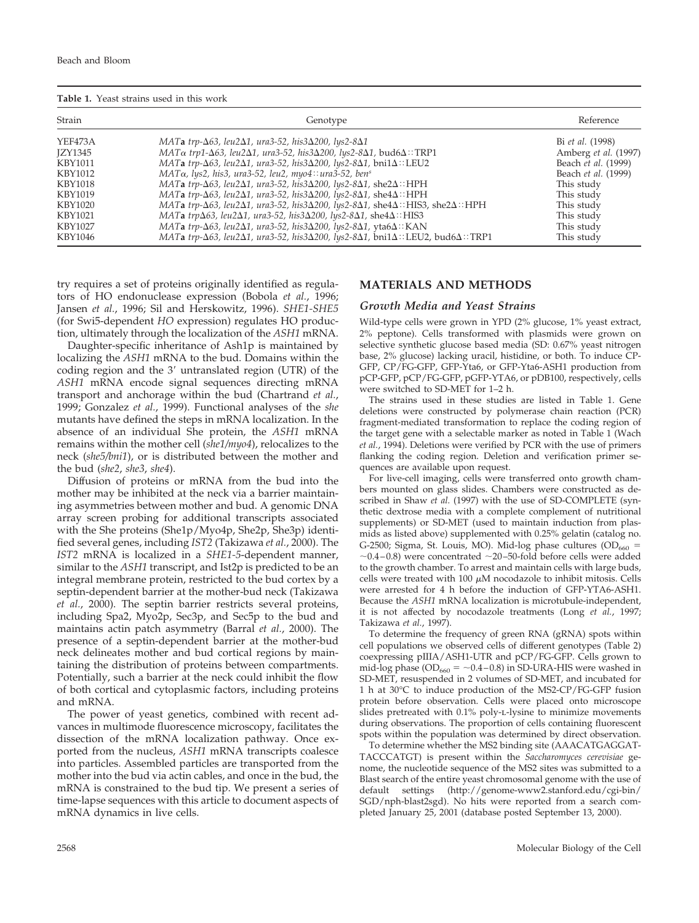| Table 1. Yeast strains used in this work |
|------------------------------------------|
|------------------------------------------|

| Strain  | Genotype                                                                                                                          | Reference                   |
|---------|-----------------------------------------------------------------------------------------------------------------------------------|-----------------------------|
| YEF473A | MATa trp- $\Delta$ 63, leu2 $\Delta$ 1, ura3-52, his3 $\Delta$ 200, lys2-8 $\Delta$ 1                                             | Bi et al. (1998)            |
| IZY1345 | $MAT\alpha$ trp1- $\Delta$ 63, leu2 $\Delta$ 1, ura3-52, his3 $\Delta$ 200, lys2-8 $\Delta$ 1, bud6 $\Delta$ ::TRP1               | Amberg <i>et al.</i> (1997) |
| KBY1011 | MATa trp- $\Delta$ 63, leu2 $\Delta$ 1, ura3-52, his3 $\Delta$ 200, lys2-8 $\Delta$ 1, bni1 $\Delta$ ::LEU2                       | Beach et al. (1999)         |
| KBY1012 | $MAT\alpha$ , lys2, his3, ura3-52, leu2, myo4:: ura3-52, ben <sup>s</sup>                                                         | Beach et al. (1999)         |
| KBY1018 | MATa trp- $\Delta$ 63, leu2 $\Delta$ 1, ura3-52, his3 $\Delta$ 200, lys2-8 $\Delta$ 1, she2 $\Delta$ ::HPH                        | This study                  |
| KBY1019 | MATa trp- $\Delta$ 63, leu2 $\Delta$ 1, ura3-52, his3 $\Delta$ 200, lys2-8 $\Delta$ 1, she $4\Delta$ ::HPH                        | This study                  |
| KBY1020 | MATa trp- $\Delta$ 63, leu2 $\Delta$ 1, ura3-52, his3 $\Delta$ 200, lys2-8 $\Delta$ 1, she $4\Delta$ ::HIS3, she $2\Delta$ ::HPH  | This study                  |
| KBY1021 | MATa trp $\Delta$ 63, leu2 $\Delta$ 1, ura3-52, his3 $\Delta$ 200, lys2-8 $\Delta$ 1, she $4\Delta$ ::HIS3                        | This study                  |
| KBY1027 | MATa trp- $\Delta$ 63, leu2 $\Delta$ 1, ura3-52, his3 $\Delta$ 200, lys2-8 $\Delta$ 1, yta6 $\Delta$ ::KAN                        | This study                  |
| KBY1046 | MATa trp- $\Delta$ 63, leu2 $\Delta$ 1, ura3-52, his3 $\Delta$ 200, lys2-8 $\Delta$ 1, bni1 $\Delta$ ::LEU2, bud6 $\Delta$ ::TRP1 | This study                  |

try requires a set of proteins originally identified as regulators of HO endonuclease expression (Bobola *et al.*, 1996; Jansen *et al.*, 1996; Sil and Herskowitz, 1996). *SHE1-SHE5* (for Swi5-dependent *HO* expression) regulates HO production, ultimately through the localization of the *ASH1* mRNA.

Daughter-specific inheritance of Ash1p is maintained by localizing the *ASH1* mRNA to the bud. Domains within the coding region and the 3' untranslated region (UTR) of the *ASH1* mRNA encode signal sequences directing mRNA transport and anchorage within the bud (Chartrand *et al.*, 1999; Gonzalez *et al.*, 1999). Functional analyses of the *she* mutants have defined the steps in mRNA localization. In the absence of an individual She protein, the *ASH1* mRNA remains within the mother cell (*she1/myo4*), relocalizes to the neck (*she5/bni1*), or is distributed between the mother and the bud (*she2*, *she3*, *she4*).

Diffusion of proteins or mRNA from the bud into the mother may be inhibited at the neck via a barrier maintaining asymmetries between mother and bud. A genomic DNA array screen probing for additional transcripts associated with the She proteins (She1p/Myo4p, She2p, She3p) identified several genes, including *IST2* (Takizawa *et al.*, 2000). The *IST2* mRNA is localized in a *SHE1-5*-dependent manner, similar to the *ASH1* transcript, and Ist2p is predicted to be an integral membrane protein, restricted to the bud cortex by a septin-dependent barrier at the mother-bud neck (Takizawa *et al.*, 2000). The septin barrier restricts several proteins, including Spa2, Myo2p, Sec3p, and Sec5p to the bud and maintains actin patch asymmetry (Barral *et al.*, 2000). The presence of a septin-dependent barrier at the mother-bud neck delineates mother and bud cortical regions by maintaining the distribution of proteins between compartments. Potentially, such a barrier at the neck could inhibit the flow of both cortical and cytoplasmic factors, including proteins and mRNA.

The power of yeast genetics, combined with recent advances in multimode fluorescence microscopy, facilitates the dissection of the mRNA localization pathway. Once exported from the nucleus, *ASH1* mRNA transcripts coalesce into particles. Assembled particles are transported from the mother into the bud via actin cables, and once in the bud, the mRNA is constrained to the bud tip. We present a series of time-lapse sequences with this article to document aspects of mRNA dynamics in live cells.

# **MATERIALS AND METHODS**

#### *Growth Media and Yeast Strains*

Wild-type cells were grown in YPD (2% glucose, 1% yeast extract, 2% peptone). Cells transformed with plasmids were grown on selective synthetic glucose based media (SD: 0.67% yeast nitrogen base, 2% glucose) lacking uracil, histidine, or both. To induce CP-GFP, CP/FG-GFP, GFP-Yta6, or GFP-Yta6-ASH1 production from pCP-GFP, pCP/FG-GFP, pGFP-YTA6, or pDB100, respectively, cells were switched to SD-MET for 1–2 h.

The strains used in these studies are listed in Table 1. Gene deletions were constructed by polymerase chain reaction (PCR) fragment-mediated transformation to replace the coding region of the target gene with a selectable marker as noted in Table 1 (Wach *et al.*, 1994). Deletions were verified by PCR with the use of primers flanking the coding region. Deletion and verification primer sequences are available upon request.

For live-cell imaging, cells were transferred onto growth chambers mounted on glass slides. Chambers were constructed as described in Shaw *et al.* (1997) with the use of SD-COMPLETE (synthetic dextrose media with a complete complement of nutritional supplements) or SD-MET (used to maintain induction from plasmids as listed above) supplemented with 0.25% gelatin (catalog no. G-2500; Sigma, St. Louis, MO). Mid-log phase cultures ( $OD_{660}$  =  $\sim$ 0.4–0.8) were concentrated  $\sim$ 20–50-fold before cells were added to the growth chamber. To arrest and maintain cells with large buds, cells were treated with 100  $\mu$ M nocodazole to inhibit mitosis. Cells were arrested for 4 h before the induction of GFP-YTA6-ASH1. Because the *ASH1* mRNA localization is microtubule-independent, it is not affected by nocodazole treatments (Long *et al.*, 1997; Takizawa *et al.*, 1997).

To determine the frequency of green RNA (gRNA) spots within cell populations we observed cells of different genotypes (Table 2) coexpressing pIIIA/ASH1-UTR and pCP/FG-GFP. Cells grown to mid-log phase ( $OD_{660} = \sim 0.4 - 0.8$ ) in SD-URA-HIS were washed in SD-MET, resuspended in 2 volumes of SD-MET, and incubated for 1 h at 30°C to induce production of the MS2-CP/FG-GFP fusion protein before observation. Cells were placed onto microscope slides pretreated with 0.1% poly-L-lysine to minimize movements during observations. The proportion of cells containing fluorescent spots within the population was determined by direct observation.

To determine whether the MS2 binding site (AAACATGAGGAT-TACCCATGT) is present within the *Saccharomyces cerevisiae* genome, the nucleotide sequence of the MS2 sites was submitted to a Blast search of the entire yeast chromosomal genome with the use of default settings (http://genome-www2.stanford.edu/cgi-bin/ SGD/nph-blast2sgd). No hits were reported from a search completed January 25, 2001 (database posted September 13, 2000).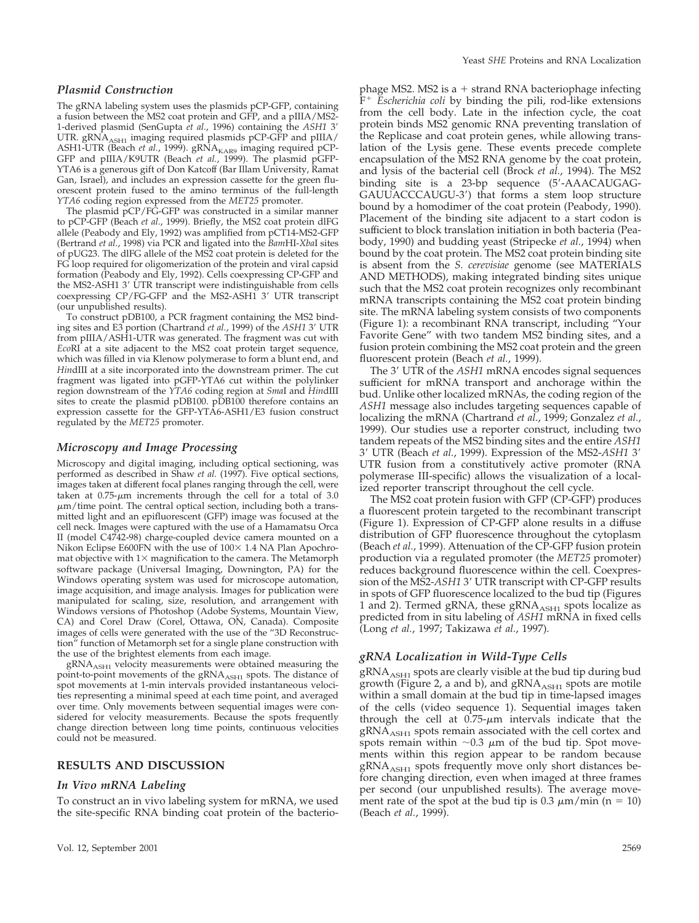#### *Plasmid Construction*

The gRNA labeling system uses the plasmids pCP-GFP, containing a fusion between the MS2 coat protein and GFP, and a pIIIA/MS2- 1-derived plasmid (SenGupta *et al.*, 1996) containing the *ASH1* 3 UTR.  $gRNA<sub>ASH1</sub>$  imaging required plasmids pCP-GFP and pIIIA/ ASH1-UTR (Beach et al., 1999). gRNA<sub>KAR9</sub> imaging required pCP-GFP and pIIIA/K9UTR (Beach *et al.*, 1999). The plasmid pGFP-YTA6 is a generous gift of Don Katcoff (Bar Illam University, Ramat Gan, Israel), and includes an expression cassette for the green fluorescent protein fused to the amino terminus of the full-length *YTA6* coding region expressed from the *MET25* promoter.

The plasmid pCP/FG-GFP was constructed in a similar manner to pCP-GFP (Beach *et al.*, 1999). Briefly, the MS2 coat protein dlFG allele (Peabody and Ely, 1992) was amplified from pCT14-MS2-GFP (Bertrand *et al.*, 1998) via PCR and ligated into the *Bam*HI-*Xba*I sites of pUG23. The dlFG allele of the MS2 coat protein is deleted for the FG loop required for oligomerization of the protein and viral capsid formation (Peabody and Ely, 1992). Cells coexpressing CP-GFP and the MS2-ASH1 3' UTR transcript were indistinguishable from cells coexpressing CP/FG-GFP and the MS2-ASH1 3' UTR transcript (our unpublished results).

To construct pDB100, a PCR fragment containing the MS2 binding sites and E3 portion (Chartrand *et al.*, 1999) of the *ASH1* 3' UTR from pIIIA/ASH1-UTR was generated. The fragment was cut with *Eco*RI at a site adjacent to the MS2 coat protein target sequence, which was filled in via Klenow polymerase to form a blunt end, and *Hin*dIII at a site incorporated into the downstream primer. The cut fragment was ligated into pGFP-YTA6 cut within the polylinker region downstream of the *YTA6* coding region at *Sma*I and *Hin*dIII sites to create the plasmid pDB100. pDB100 therefore contains an expression cassette for the GFP-YTA6-ASH1/E3 fusion construct regulated by the *MET25* promoter.

#### *Microscopy and Image Processing*

Microscopy and digital imaging, including optical sectioning, was performed as described in Shaw *et al.* (1997). Five optical sections, images taken at different focal planes ranging through the cell, were taken at 0.75- $\mu$ m increments through the cell for a total of 3.0  $\mu$ m/time point. The central optical section, including both a transmitted light and an epifluorescent (GFP) image was focused at the cell neck. Images were captured with the use of a Hamamatsu Orca II (model C4742-98) charge-coupled device camera mounted on a Nikon Eclipse E600FN with the use of  $100 \times 1.4$  NA Plan Apochromat objective with  $1\times$  magnification to the camera. The Metamorph software package (Universal Imaging, Downington, PA) for the Windows operating system was used for microscope automation, image acquisition, and image analysis. Images for publication were manipulated for scaling, size, resolution, and arrangement with Windows versions of Photoshop (Adobe Systems, Mountain View, CA) and Corel Draw (Corel, Ottawa, ON, Canada). Composite images of cells were generated with the use of the "3D Reconstruction" function of Metamorph set for a single plane construction with the use of the brightest elements from each image.

 $gRNA<sub>ASH1</sub>$  velocity measurements were obtained measuring the point-to-point movements of the gRNA<sub>ASH1</sub> spots. The distance of spot movements at 1-min intervals provided instantaneous velocities representing a minimal speed at each time point, and averaged over time. Only movements between sequential images were considered for velocity measurements. Because the spots frequently change direction between long time points, continuous velocities could not be measured.

# **RESULTS AND DISCUSSION**

#### *In Vivo mRNA Labeling*

To construct an in vivo labeling system for mRNA, we used the site-specific RNA binding coat protein of the bacteriophage MS2. MS2 is a  $+$  strand RNA bacteriophage infecting  $F^+$  *Escherichia coli* by binding the pili, rod-like extensions from the cell body. Late in the infection cycle, the coat protein binds MS2 genomic RNA preventing translation of the Replicase and coat protein genes, while allowing translation of the Lysis gene. These events precede complete encapsulation of the MS2 RNA genome by the coat protein, and lysis of the bacterial cell (Brock *et al.*, 1994). The MS2 binding site is a 23-bp sequence (5-AAACAUGAG-GAUUACCCAUGU-3) that forms a stem loop structure bound by a homodimer of the coat protein (Peabody, 1990). Placement of the binding site adjacent to a start codon is sufficient to block translation initiation in both bacteria (Peabody, 1990) and budding yeast (Stripecke *et al.*, 1994) when bound by the coat protein. The MS2 coat protein binding site is absent from the *S. cerevisiae* genome (see MATERIALS AND METHODS), making integrated binding sites unique such that the MS2 coat protein recognizes only recombinant mRNA transcripts containing the MS2 coat protein binding site. The mRNA labeling system consists of two components (Figure 1): a recombinant RNA transcript, including "Your Favorite Gene" with two tandem MS2 binding sites, and a fusion protein combining the MS2 coat protein and the green fluorescent protein (Beach *et al.*, 1999).

The 3' UTR of the *ASH1* mRNA encodes signal sequences sufficient for mRNA transport and anchorage within the bud. Unlike other localized mRNAs, the coding region of the *ASH1* message also includes targeting sequences capable of localizing the mRNA (Chartrand *et al.*, 1999; Gonzalez *et al.*, 1999). Our studies use a reporter construct, including two tandem repeats of the MS2 binding sites and the entire *ASH1* 3 UTR (Beach *et al.*, 1999). Expression of the MS2-*ASH1* 3 UTR fusion from a constitutively active promoter (RNA polymerase III-specific) allows the visualization of a localized reporter transcript throughout the cell cycle.

The MS2 coat protein fusion with GFP (CP-GFP) produces a fluorescent protein targeted to the recombinant transcript (Figure 1). Expression of CP-GFP alone results in a diffuse distribution of GFP fluorescence throughout the cytoplasm (Beach *et al.*, 1999). Attenuation of the CP-GFP fusion protein production via a regulated promoter (the *MET25* promoter) reduces background fluorescence within the cell. Coexpression of the MS2-*ASH1* 3' UTR transcript with CP-GFP results in spots of GFP fluorescence localized to the bud tip (Figures 1 and 2). Termed gRNA, these gRNA<sub>ASH1</sub> spots localize as predicted from in situ labeling of *ASH1* mRNA in fixed cells (Long *et al.*, 1997; Takizawa *et al.*, 1997).

# *gRNA Localization in Wild-Type Cells*

gRNA<sub>ASH1</sub> spots are clearly visible at the bud tip during bud growth (Figure 2, a and b), and  $gRNA<sub>ASH1</sub>$  spots are motile within a small domain at the bud tip in time-lapsed images of the cells (video sequence 1). Sequential images taken through the cell at  $0.75$ - $\mu$ m intervals indicate that the gRNA<sub>ASH1</sub> spots remain associated with the cell cortex and spots remain within  ${\sim}0.3$   ${\rm \mu m}$  of the bud tip. Spot movements within this region appear to be random because  $gRNA<sub>ASH1</sub>$  spots frequently move only short distances before changing direction, even when imaged at three frames per second (our unpublished results). The average movement rate of the spot at the bud tip is  $0.3 \mu m/min$  (n = 10) (Beach *et al.*, 1999).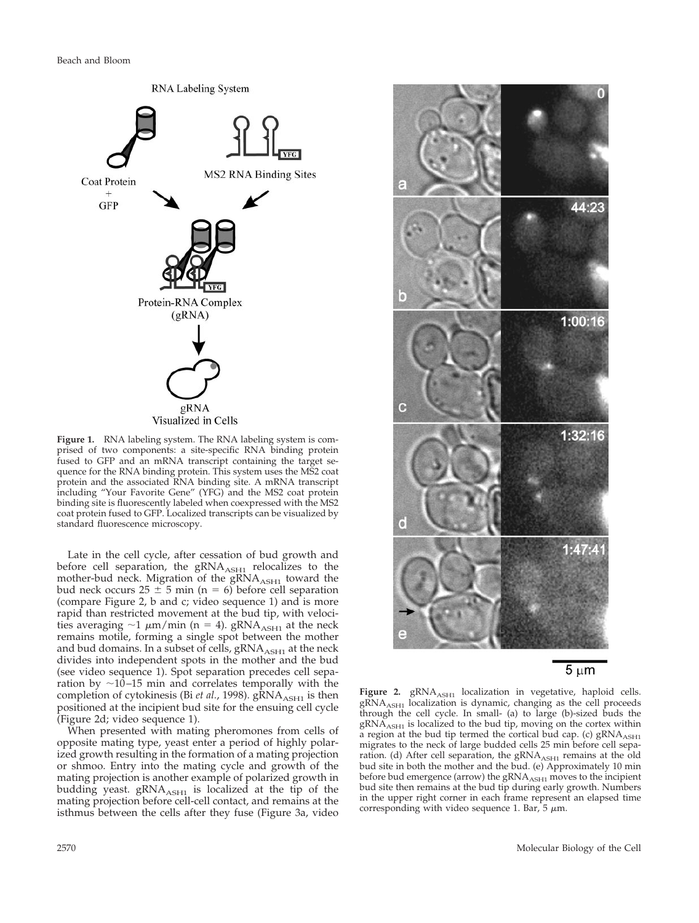Beach and Bloom



**Figure 1.** RNA labeling system. The RNA labeling system is comprised of two components: a site-specific RNA binding protein fused to GFP and an mRNA transcript containing the target sequence for the RNA binding protein. This system uses the MS2 coat protein and the associated RNA binding site. A mRNA transcript including "Your Favorite Gene" (YFG) and the MS2 coat protein binding site is fluorescently labeled when coexpressed with the MS2 coat protein fused to GFP. Localized transcripts can be visualized by standard fluorescence microscopy.

Late in the cell cycle, after cessation of bud growth and before cell separation, the  $gRNA<sub>ASH1</sub>$  relocalizes to the mother-bud neck. Migration of the gRNA<sub>ASH1</sub> toward the bud neck occurs  $25 \pm 5$  min (n = 6) before cell separation (compare Figure 2, b and c; video sequence 1) and is more rapid than restricted movement at the bud tip, with velocities averaging  $\sim$ 1  $\mu$ m/min (n = 4). gRNA<sub>ASH1</sub> at the neck remains motile, forming a single spot between the mother and bud domains. In a subset of cells,  $gRNA<sub>ASH1</sub>$  at the neck divides into independent spots in the mother and the bud (see video sequence 1). Spot separation precedes cell separation by  $\sim$ 10–15 min and correlates temporally with the completion of cytokinesis (Bi *et al.*, 1998). gRNA<sub>ASH1</sub> is then positioned at the incipient bud site for the ensuing cell cycle (Figure 2d; video sequence 1).

When presented with mating pheromones from cells of opposite mating type, yeast enter a period of highly polarized growth resulting in the formation of a mating projection or shmoo. Entry into the mating cycle and growth of the mating projection is another example of polarized growth in budding yeast.  $gRNA<sub>ASH1</sub>$  is localized at the tip of the mating projection before cell-cell contact, and remains at the isthmus between the cells after they fuse (Figure 3a, video



 $5 \mu m$ 

Figure 2. gRNA<sub>ASH1</sub> localization in vegetative, haploid cells.  $gRNA<sub>ASH1</sub>$  localization is dynamic, changing as the cell proceeds through the cell cycle. In small- (a) to large (b)-sized buds the  $gRNA<sub>ASH1</sub>$  is localized to the bud tip, moving on the cortex within a region at the bud tip termed the cortical bud cap. (c)  $\text{gRNA}_{\text{ASH1}}$ migrates to the neck of large budded cells 25 min before cell separation. (d) After cell separation, the gRNA<sub>ASH1</sub> remains at the old bud site in both the mother and the bud. (e) Approximately 10 min before bud emergence (arrow) the  $\gamma_{\text{ASH1}}$  moves to the incipient bud site then remains at the bud tip during early growth. Numbers in the upper right corner in each frame represent an elapsed time corresponding with video sequence 1. Bar, 5  $\mu$ m.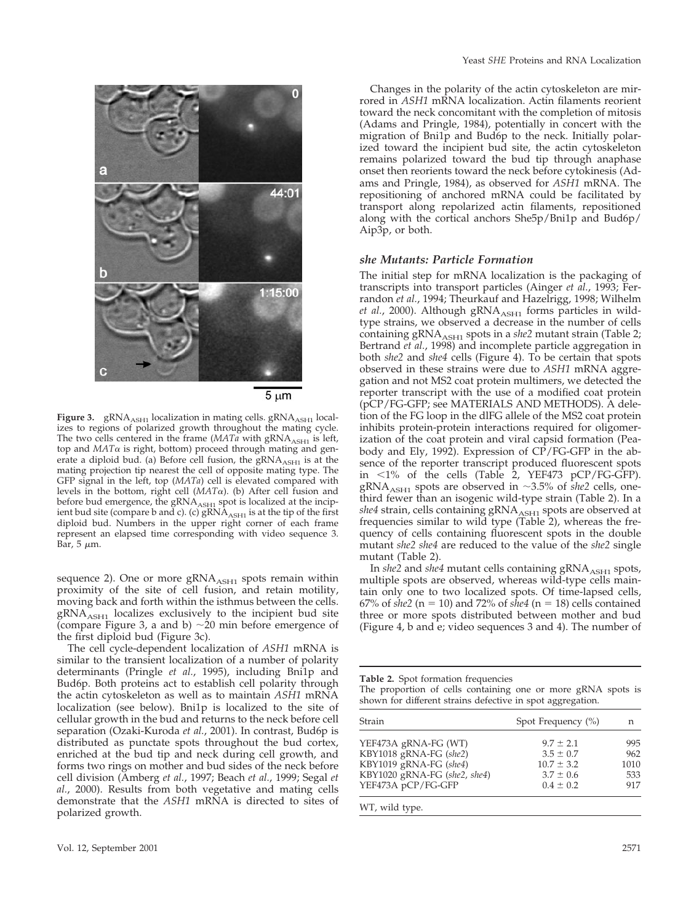

5 µm

Figure 3. gRNA<sub>ASH1</sub> localization in mating cells. gRNA<sub>ASH1</sub> localizes to regions of polarized growth throughout the mating cycle. The two cells centered in the frame  $(MATa$  with  $gRNA<sub>ASH1</sub>$  is left, top and  $MAT\alpha$  is right, bottom) proceed through mating and generate a diploid bud. (a) Before cell fusion, the  $\bar{g}RNA$ <sub>ASH1</sub> is at the mating projection tip nearest the cell of opposite mating type. The GFP signal in the left, top (*MATa*) cell is elevated compared with levels in the bottom, right cell  $(MAT\alpha)$ . (b) After cell fusion and before bud emergence, the  $gRNA_{\rm ASH1}$  spot is localized at the incipient bud site (compare b and c). (c)  $\mathrm{gRNA}_{\mathrm{ASH1}}$  is at the tip of the first diploid bud. Numbers in the upper right corner of each frame represent an elapsed time corresponding with video sequence 3. Bar, 5  $\mu$ m.

sequence 2). One or more  $gRNA<sub>ASH1</sub>$  spots remain within proximity of the site of cell fusion, and retain motility, moving back and forth within the isthmus between the cells.  $gRNA<sub>ASH1</sub>$  localizes exclusively to the incipient bud site (compare Figure 3, a and b)  $\sim 20$  min before emergence of the first diploid bud (Figure 3c).

The cell cycle-dependent localization of *ASH1* mRNA is similar to the transient localization of a number of polarity determinants (Pringle *et al.*, 1995), including Bni1p and Bud6p. Both proteins act to establish cell polarity through the actin cytoskeleton as well as to maintain *ASH1* mRNA localization (see below). Bni1p is localized to the site of cellular growth in the bud and returns to the neck before cell separation (Ozaki-Kuroda *et al.*, 2001). In contrast, Bud6p is distributed as punctate spots throughout the bud cortex, enriched at the bud tip and neck during cell growth, and forms two rings on mother and bud sides of the neck before cell division (Amberg *et al.*, 1997; Beach *et al.*, 1999; Segal *et al.*, 2000). Results from both vegetative and mating cells demonstrate that the *ASH1* mRNA is directed to sites of polarized growth.

Changes in the polarity of the actin cytoskeleton are mirrored in *ASH1* mRNA localization. Actin filaments reorient toward the neck concomitant with the completion of mitosis (Adams and Pringle, 1984), potentially in concert with the migration of Bni1p and Bud6p to the neck. Initially polarized toward the incipient bud site, the actin cytoskeleton remains polarized toward the bud tip through anaphase onset then reorients toward the neck before cytokinesis (Adams and Pringle, 1984), as observed for *ASH1* mRNA. The repositioning of anchored mRNA could be facilitated by transport along repolarized actin filaments, repositioned along with the cortical anchors She5p/Bni1p and Bud6p/ Aip3p, or both.

#### *she Mutants: Particle Formation*

The initial step for mRNA localization is the packaging of transcripts into transport particles (Ainger *et al.*, 1993; Ferrandon *et al.*, 1994; Theurkauf and Hazelrigg, 1998; Wilhelm *et al.*, 2000). Although gRNA<sub>ASH1</sub> forms particles in wildtype strains, we observed a decrease in the number of cells containing gRNA<sub>ASH1</sub> spots in a *she2* mutant strain (Table 2; Bertrand *et al.*, 1998) and incomplete particle aggregation in both *she2* and *she4* cells (Figure 4). To be certain that spots observed in these strains were due to *ASH1* mRNA aggregation and not MS2 coat protein multimers, we detected the reporter transcript with the use of a modified coat protein (pCP/FG-GFP; see MATERIALS AND METHODS). A deletion of the FG loop in the dlFG allele of the MS2 coat protein inhibits protein-protein interactions required for oligomerization of the coat protein and viral capsid formation (Peabody and Ely, 1992). Expression of CP/FG-GFP in the absence of the reporter transcript produced fluorescent spots in  $1\%$  of the cells (Table 2, YEF473 pCP/FG-GFP). gRNA<sub>ASH1</sub> spots are observed in  $\sim$ 3.5% of *she2* cells, onethird fewer than an isogenic wild-type strain (Table 2). In a  $she4$  strain, cells containing  $\mathrm{gRNA}_{\mathrm{ASH1}}$  spots are observed at frequencies similar to wild type (Table 2), whereas the frequency of cells containing fluorescent spots in the double mutant *she2 she4* are reduced to the value of the *she2* single mutant (Table 2).

In *she2* and *she4* mutant cells containing gRNA<sub>ASH1</sub> spots, multiple spots are observed, whereas wild-type cells maintain only one to two localized spots. Of time-lapsed cells,  $67\%$  of *she2* ( $n = 10$ ) and 72% of *she4* ( $n = 18$ ) cells contained three or more spots distributed between mother and bud (Figure 4, b and e; video sequences 3 and 4). The number of

**Table 2.** Spot formation frequencies

The proportion of cells containing one or more gRNA spots is shown for different strains defective in spot aggregation.

| Strain                       | Spot Frequency $(\% )$ | n    |
|------------------------------|------------------------|------|
| YEF473A gRNA-FG (WT)         | $9.7 \pm 2.1$          | 995  |
| KBY1018 gRNA-FG (she2)       | $3.5 \pm 0.7$          | 962  |
| KBY1019 gRNA-FG (she4)       | $10.7 \pm 3.2$         | 1010 |
| KBY1020 gRNA-FG (she2, she4) | $3.7 \pm 0.6$          | 533  |
| YEF473A pCP/FG-GFP           | $0.4 \pm 0.2$          | 917  |

WT, wild type.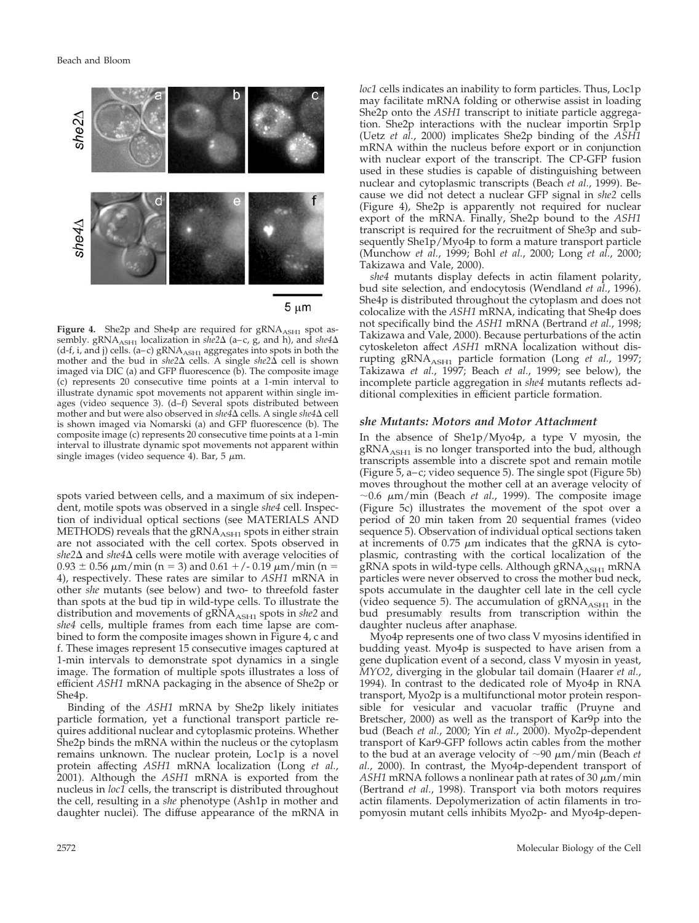

Figure 4. She2p and She4p are required for gRNA<sub>ASH1</sub> spot assembly. gRNA<sub>ASH1</sub> localization in *she2* $\Delta$  (a-c, g, and h), and *she4* $\Delta$ (d-f, i, and j) cells. (a–c)  $gRNA<sub>ASH</sub>$  aggregates into spots in both the mother and the bud in  $she2\Delta$  cells. A single  $she2\Delta$  cell is shown imaged via DIC (a) and GFP fluorescence  $(b)$ . The composite image (c) represents 20 consecutive time points at a 1-min interval to illustrate dynamic spot movements not apparent within single images (video sequence 3). (d–f) Several spots distributed between mother and but were also observed in *she4*<sup> $\Delta$ </sup> cells. A single *she4* $\Delta$  cell is shown imaged via Nomarski (a) and GFP fluorescence (b). The composite image (c) represents 20 consecutive time points at a 1-min interval to illustrate dynamic spot movements not apparent within single images (video sequence 4). Bar, 5  $\mu$ m.

spots varied between cells, and a maximum of six independent, motile spots was observed in a single *she4* cell. Inspection of individual optical sections (see MATERIALS AND METHODS) reveals that the  $\beta$ RNA<sub>ASH1</sub> spots in either strain are not associated with the cell cortex. Spots observed in  $she2\Delta$  and  $she4\Delta$  cells were motile with average velocities of  $0.93 \pm 0.56 \ \mu m/min$  (n = 3) and  $0.61 + (-0.19 \ \mu m/min)$  (n = 4), respectively. These rates are similar to *ASH1* mRNA in other *she* mutants (see below) and two- to threefold faster than spots at the bud tip in wild-type cells. To illustrate the distribution and movements of gRNA<sub>ASH1</sub> spots in *she2* and *she4* cells, multiple frames from each time lapse are combined to form the composite images shown in Figure 4, c and f. These images represent 15 consecutive images captured at 1-min intervals to demonstrate spot dynamics in a single image. The formation of multiple spots illustrates a loss of efficient *ASH1* mRNA packaging in the absence of She2p or She4p.

Binding of the *ASH1* mRNA by She2p likely initiates particle formation, yet a functional transport particle requires additional nuclear and cytoplasmic proteins. Whether She2p binds the mRNA within the nucleus or the cytoplasm remains unknown. The nuclear protein, Loc1p is a novel protein affecting *ASH1* mRNA localization (Long *et al.*, 2001). Although the *ASH1* mRNA is exported from the nucleus in *loc1* cells, the transcript is distributed throughout the cell, resulting in a *she* phenotype (Ash1p in mother and daughter nuclei). The diffuse appearance of the mRNA in *loc1* cells indicates an inability to form particles. Thus, Loc1p may facilitate mRNA folding or otherwise assist in loading She2p onto the *ASH1* transcript to initiate particle aggregation. She2p interactions with the nuclear importin Srp1p (Uetz *et al.*, 2000) implicates She2p binding of the *ASH1* mRNA within the nucleus before export or in conjunction with nuclear export of the transcript. The CP-GFP fusion used in these studies is capable of distinguishing between nuclear and cytoplasmic transcripts (Beach *et al.*, 1999). Because we did not detect a nuclear GFP signal in *she2* cells (Figure 4), She2p is apparently not required for nuclear export of the mRNA. Finally, She2p bound to the *ASH1* transcript is required for the recruitment of She3p and subsequently She1p/Myo4p to form a mature transport particle (Munchow *et al.*, 1999; Bohl *et al.*, 2000; Long *et al.*, 2000; Takizawa and Vale, 2000).

*she4* mutants display defects in actin filament polarity, bud site selection, and endocytosis (Wendland *et al.*, 1996). She4p is distributed throughout the cytoplasm and does not colocalize with the *ASH1* mRNA, indicating that She4p does not specifically bind the *ASH1* mRNA (Bertrand *et al.*, 1998; Takizawa and Vale, 2000). Because perturbations of the actin cytoskeleton affect *ASH1* mRNA localization without disrupting gRNA<sub>ASH1</sub> particle formation (Long *et al.*, 1997; Takizawa *et al.*, 1997; Beach *et al.*, 1999; see below), the incomplete particle aggregation in *she4* mutants reflects additional complexities in efficient particle formation.

#### *she Mutants: Motors and Motor Attachment*

In the absence of She1p/Myo4p, a type V myosin, the gRNA $_{\rm AsH1}$  is no longer transported into the bud, although transcripts assemble into a discrete spot and remain motile (Figure 5, a–c; video sequence 5). The single spot (Figure 5b) moves throughout the mother cell at an average velocity of  $\sim$ 0.6  $\mu$ m/min (Beach *et al.*, 1999). The composite image (Figure 5c) illustrates the movement of the spot over a period of 20 min taken from 20 sequential frames (video sequence 5). Observation of individual optical sections taken at increments of 0.75  $\mu$ m indicates that the gRNA is cytoplasmic, contrasting with the cortical localization of the gRNA spots in wild-type cells. Although gRNA $_{\rm ASH1}$  mRNA particles were never observed to cross the mother bud neck, spots accumulate in the daughter cell late in the cell cycle (video sequence 5). The accumulation of  $\alpha_{\text{RNA}_{\text{ASH1}}}$  in the bud presumably results from transcription within the daughter nucleus after anaphase.

Myo4p represents one of two class V myosins identified in budding yeast. Myo4p is suspected to have arisen from a gene duplication event of a second, class V myosin in yeast, *MYO2*, diverging in the globular tail domain (Haarer *et al.*, 1994). In contrast to the dedicated role of Myo4p in RNA transport, Myo2p is a multifunctional motor protein responsible for vesicular and vacuolar traffic (Pruyne and Bretscher, 2000) as well as the transport of Kar9p into the bud (Beach *et al.*, 2000; Yin *et al.*, 2000). Myo2p-dependent transport of Kar9-GFP follows actin cables from the mother to the bud at an average velocity of  $\sim$ 90  $\mu$ m/min (Beach *et al.*, 2000). In contrast, the Myo4p-dependent transport of  $ASH1$  mRNA follows a nonlinear path at rates of 30  $\mu$ m/min (Bertrand *et al.*, 1998). Transport via both motors requires actin filaments. Depolymerization of actin filaments in tropomyosin mutant cells inhibits Myo2p- and Myo4p-depen-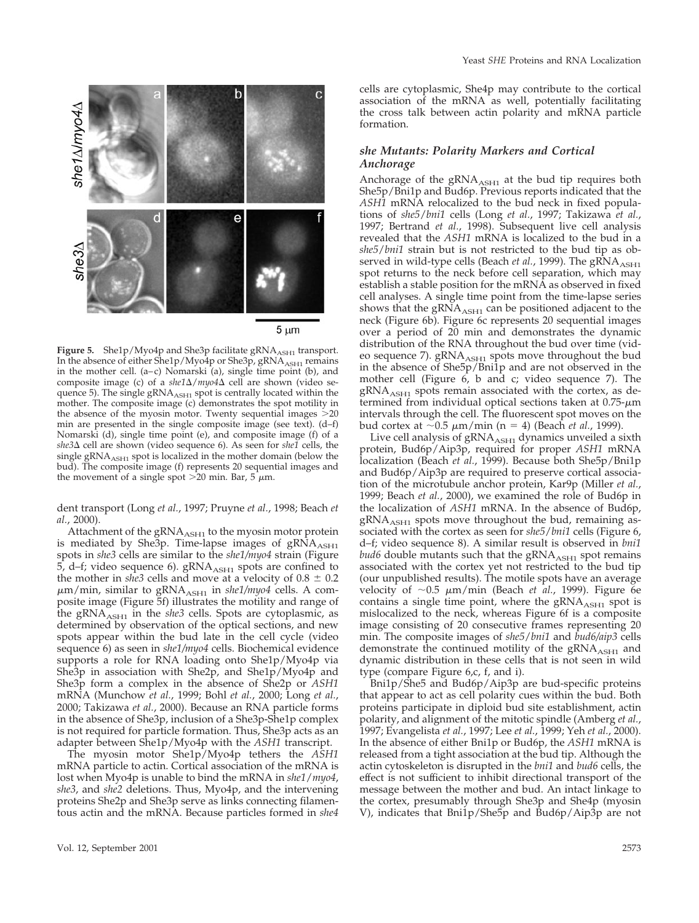



**Figure 5.** She1p/Myo4p and She3p facilitate gRNA<sub>ASH1</sub> transport. In the absence of either She $1p/My$ 04 $p$  or She $3p$ , gRNA $_{\rm ASH1}$  remains in the mother cell. (a–c) Nomarski (a), single time point (b), and composite image (c) of a *she1* $\Delta$ /*myo4* $\Delta$  cell are shown (video sequence 5). The single  $gRNA<sub>ASH1</sub>$  spot is centrally located within the mother. The composite image (c) demonstrates the spot motility in the absence of the myosin motor. Twenty sequential images  $>20$ min are presented in the single composite image (see text). (d–f) Nomarski (d), single time point (e), and composite image (f) of a *she3* cell are shown (video sequence 6). As seen for *she1* cells, the single gRNA<sub>ASH1</sub> spot is localized in the mother domain (below the bud). The composite image (f) represents 20 sequential images and the movement of a single spot  $>$ 20 min. Bar, 5  $\mu$ m.

dent transport (Long *et al.*, 1997; Pruyne *et al.*, 1998; Beach *et al.*, 2000).

Attachment of the  $gRNA<sub>ASH1</sub>$  to the myosin motor protein is mediated by She3p. Time-lapse images of  $gRNA<sub>ASH1</sub>$ spots in *she3* cells are similar to the *she1/myo4* strain (Figure 5, d–f; video sequence 6).  $gRNA<sub>ASH1</sub>$  spots are confined to the mother in *she3* cells and move at a velocity of  $0.8 \pm 0.2$  $\mu$ m/min, similar to gRNA<sub>ASH1</sub> in *she1/myo4* cells. A composite image (Figure 5f) illustrates the motility and range of the gRNA<sub>ASH1</sub> in the *she3* cells. Spots are cytoplasmic, as determined by observation of the optical sections, and new spots appear within the bud late in the cell cycle (video sequence 6) as seen in *she1/myo4* cells. Biochemical evidence supports a role for RNA loading onto She1p/Myo4p via She3p in association with She2p, and She1p/Myo4p and She3p form a complex in the absence of She2p or *ASH1* mRNA (Munchow *et al.*, 1999; Bohl *et al.*, 2000; Long *et al.*, 2000; Takizawa *et al.*, 2000). Because an RNA particle forms in the absence of She3p, inclusion of a She3p-She1p complex is not required for particle formation. Thus, She3p acts as an adapter between She1p/Myo4p with the *ASH1* transcript.

The myosin motor She1p/Myo4p tethers the *ASH1* mRNA particle to actin. Cortical association of the mRNA is lost when Myo4p is unable to bind the mRNA in *she1*/*myo4*, *she3*, and *she2* deletions. Thus, Myo4p, and the intervening proteins She2p and She3p serve as links connecting filamentous actin and the mRNA. Because particles formed in *she4*

cells are cytoplasmic, She4p may contribute to the cortical association of the mRNA as well, potentially facilitating the cross talk between actin polarity and mRNA particle formation.

### *she Mutants: Polarity Markers and Cortical Anchorage*

Anchorage of the  $gRNA<sub>ASH1</sub>$  at the bud tip requires both She5p/Bni1p and Bud6p. Previous reports indicated that the *ASH1* mRNA relocalized to the bud neck in fixed populations of *she5*/*bni1* cells (Long *et al.*, 1997; Takizawa *et al.*, 1997; Bertrand *et al.*, 1998). Subsequent live cell analysis revealed that the *ASH1* mRNA is localized to the bud in a *she5*/*bni1* strain but is not restricted to the bud tip as observed in wild-type cells (Beach *et al.*, 1999). The gRNA<sub>ASH1</sub> spot returns to the neck before cell separation, which may establish a stable position for the mRNA as observed in fixed cell analyses. A single time point from the time-lapse series shows that the  $\frac{g}{A_{\text{ASH}}}$  can be positioned adjacent to the neck (Figure 6b). Figure 6c represents 20 sequential images over a period of 20 min and demonstrates the dynamic distribution of the RNA throughout the bud over time (video sequence 7).  $gRNA<sub>ASH1</sub>$  spots move throughout the bud in the absence of She5p/Bni1p and are not observed in the mother cell (Figure 6, b and c; video sequence 7). The gRNA<sub>ASH1</sub> spots remain associated with the cortex, as determined from individual optical sections taken at 0.75- $\mu$ m intervals through the cell. The fluorescent spot moves on the bud cortex at  $\sim$  0.5  $\mu$ m/min (n = 4) (Beach *et al.*, 1999).

Live cell analysis of  $gRNA<sub>ASH1</sub>$  dynamics unveiled a sixth protein, Bud6p/Aip3p, required for proper *ASH1* mRNA localization (Beach et al., 1999). Because both She5p/Bni1p and Bud6p/Aip3p are required to preserve cortical association of the microtubule anchor protein, Kar9p (Miller *et al.*, 1999; Beach *et al.*, 2000), we examined the role of Bud6p in the localization of *ASH1* mRNA. In the absence of Bud6p,  $gRNA<sub>ASH1</sub>$  spots move throughout the bud, remaining associated with the cortex as seen for *she5*/*bni1* cells (Figure 6, d–f; video sequence 8). A similar result is observed in *bni1 bud6* double mutants such that the gRNA<sub>ASH1</sub> spot remains associated with the cortex yet not restricted to the bud tip (our unpublished results). The motile spots have an average velocity of ~0.5 μm/min (Beach *et al.,* 1999). Figure 6e contains a single time point, where the  $\alpha_{\text{SNA}}$  spot is mislocalized to the neck, whereas Figure 6f is a composite image consisting of 20 consecutive frames representing 20 min. The composite images of *she5*/*bni1* and *bud6/aip3* cells demonstrate the continued motility of the  $\text{gRNA}_{\text{ASH1}}$  and dynamic distribution in these cells that is not seen in wild type (compare Figure 6,c, f, and i).

Bni1p/She5 and Bud6p/Aip3p are bud-specific proteins that appear to act as cell polarity cues within the bud. Both proteins participate in diploid bud site establishment, actin polarity, and alignment of the mitotic spindle (Amberg *et al.*, 1997; Evangelista *et al.*, 1997; Lee *et al.*, 1999; Yeh *et al.*, 2000). In the absence of either Bni1p or Bud6p, the *ASH1* mRNA is released from a tight association at the bud tip. Although the actin cytoskeleton is disrupted in the *bni1* and *bud6* cells, the effect is not sufficient to inhibit directional transport of the message between the mother and bud. An intact linkage to the cortex, presumably through She3p and She4p (myosin V), indicates that Bni1p/She5p and Bud6p/Aip3p are not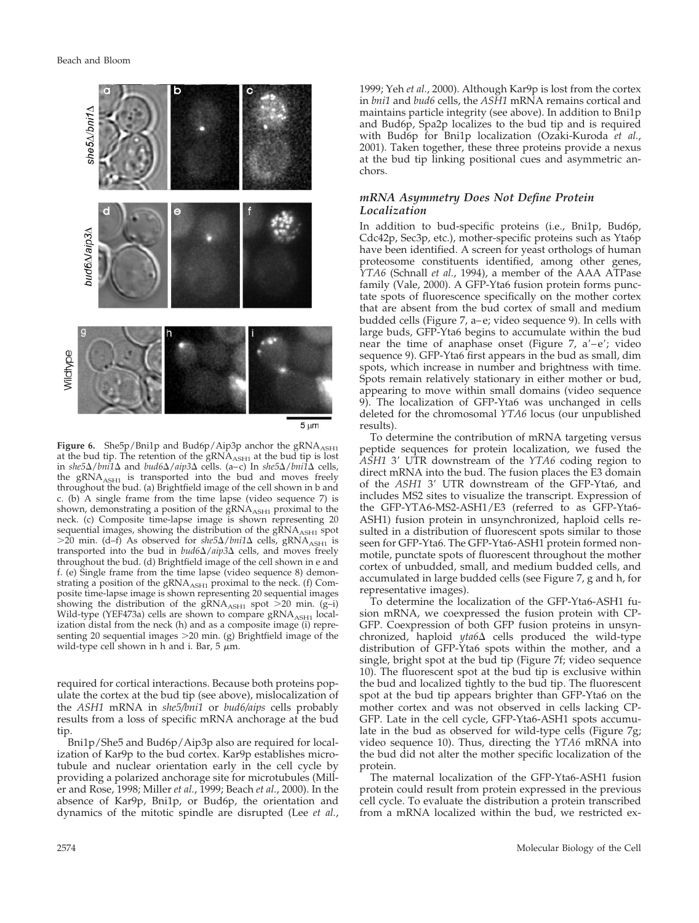

 $5 \mu m$ 

Figure 6. She5p/Bni1p and Bud6p/Aip3p anchor the gRNA<sub>ASH1</sub> at the bud tip. The retention of the gRNA<sub>ASH1</sub> at the bud tip is lost in *she5*/*bni1* and *bud6*/*aip3* cells. (a–c) In *she5*/*bni1* cells, the gRNA<sub>ASH1</sub> is transported into the bud and moves freely throughout the bud. (a) Brightfield image of the cell shown in b and c. (b) A single frame from the time lapse (video sequence 7) is shown, demonstrating a position of the gRNA<sub>ASH1</sub> proximal to the neck. (c) Composite time-lapse image is shown representing 20 sequential images, showing the distribution of the  $\text{gRNA}_{\text{ASH1}}$  spot  $>$ 20 min. (d–f) As observed for *she5* $\Delta$ /*bni1* $\Delta$  cells, gRNA<sub>ASH1</sub> is transported into the bud in  $bud6\Delta/aip3\Delta$  cells, and moves freely throughout the bud. (d) Brightfield image of the cell shown in e and f. (e) Single frame from the time lapse (video sequence 8) demonstrating a position of the  $gRNA<sub>ASH1</sub>$  proximal to the neck. (f) Composite time-lapse image is shown representing 20 sequential images showing the distribution of the  $gRNA<sub>ASH1</sub>$  spot >20 min. (g-i) Wild-type (YEF473a) cells are shown to compare  $gRNA<sub>ASH1</sub>$  localization distal from the neck (h) and as a composite image (i) representing 20 sequential images  $>$  20 min. (g) Brightfield image of the wild-type cell shown in h and i. Bar, 5  $\mu$ m.

required for cortical interactions. Because both proteins populate the cortex at the bud tip (see above), mislocalization of the *ASH1* mRNA in *she5/bni1* or *bud6/aips* cells probably results from a loss of specific mRNA anchorage at the bud tip.

Bni1p/She5 and Bud6p/Aip3p also are required for localization of Kar9p to the bud cortex. Kar9p establishes microtubule and nuclear orientation early in the cell cycle by providing a polarized anchorage site for microtubules (Miller and Rose, 1998; Miller *et al.*, 1999; Beach *et al.*, 2000). In the absence of Kar9p, Bni1p, or Bud6p, the orientation and dynamics of the mitotic spindle are disrupted (Lee *et al.*,

1999; Yeh *et al.*, 2000). Although Kar9p is lost from the cortex in *bni1* and *bud6* cells, the *ASH1* mRNA remains cortical and maintains particle integrity (see above). In addition to Bni1p and Bud6p, Spa2p localizes to the bud tip and is required with Bud6p for Bni1p localization (Ozaki-Kuroda *et al.*, 2001). Taken together, these three proteins provide a nexus at the bud tip linking positional cues and asymmetric anchors.

# *mRNA Asymmetry Does Not Define Protein Localization*

In addition to bud-specific proteins (i.e., Bni1p, Bud6p, Cdc42p, Sec3p, etc.), mother-specific proteins such as Yta6p have been identified. A screen for yeast orthologs of human proteosome constituents identified, among other genes, *YTA6* (Schnall *et al.*, 1994), a member of the AAA ATPase family (Vale, 2000). A GFP-Yta6 fusion protein forms punctate spots of fluorescence specifically on the mother cortex that are absent from the bud cortex of small and medium budded cells (Figure 7, a–e; video sequence 9). In cells with large buds, GFP-Yta6 begins to accumulate within the bud near the time of anaphase onset (Figure 7,  $a'-e'$ ; video sequence 9). GFP-Yta6 first appears in the bud as small, dim spots, which increase in number and brightness with time. Spots remain relatively stationary in either mother or bud, appearing to move within small domains (video sequence 9). The localization of GFP-Yta6 was unchanged in cells deleted for the chromosomal *YTA6* locus (our unpublished results).

To determine the contribution of mRNA targeting versus peptide sequences for protein localization, we fused the *ASH1* 3' UTR downstream of the *YTA6* coding region to direct mRNA into the bud. The fusion places the E3 domain of the *ASH1* 3' UTR downstream of the GFP-Yta6, and includes MS2 sites to visualize the transcript. Expression of the GFP-YTA6-MS2-ASH1/E3 (referred to as GFP-Yta6- ASH1) fusion protein in unsynchronized, haploid cells resulted in a distribution of fluorescent spots similar to those seen for GFP-Yta6. The GFP-Yta6-ASH1 protein formed nonmotile, punctate spots of fluorescent throughout the mother cortex of unbudded, small, and medium budded cells, and accumulated in large budded cells (see Figure 7, g and h, for representative images).

To determine the localization of the GFP-Yta6-ASH1 fusion mRNA, we coexpressed the fusion protein with CP-GFP. Coexpression of both GFP fusion proteins in unsynchronized, haploid  $yta6\Delta$  cells produced the wild-type distribution of GFP-Yta6 spots within the mother, and a single, bright spot at the bud tip (Figure 7f; video sequence 10). The fluorescent spot at the bud tip is exclusive within the bud and localized tightly to the bud tip. The fluorescent spot at the bud tip appears brighter than GFP-Yta6 on the mother cortex and was not observed in cells lacking CP-GFP. Late in the cell cycle, GFP-Yta6-ASH1 spots accumulate in the bud as observed for wild-type cells (Figure 7g; video sequence 10). Thus, directing the *YTA6* mRNA into the bud did not alter the mother specific localization of the protein.

The maternal localization of the GFP-Yta6-ASH1 fusion protein could result from protein expressed in the previous cell cycle. To evaluate the distribution a protein transcribed from a mRNA localized within the bud, we restricted ex-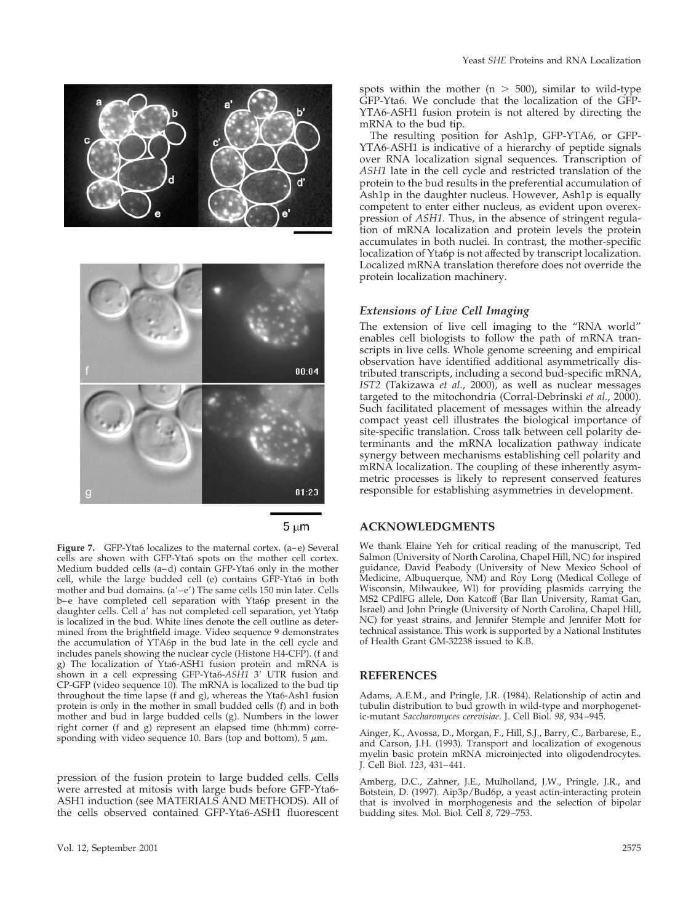

 $5 \mu m$ 

**Figure 7.** GFP-Yta6 localizes to the maternal cortex. (a–e) Several cells are shown with GFP-Yta6 spots on the mother cell cortex. Medium budded cells (a–d) contain GFP-Yta6 only in the mother cell, while the large budded cell (e) contains GFP-Yta6 in both mother and bud domains.  $(a'-e')$  The same cells 150 min later. Cells b–e have completed cell separation with Yta6p present in the daughter cells. Cell a' has not completed cell separation, yet Yta6p is localized in the bud. White lines denote the cell outline as determined from the brightfield image. Video sequence 9 demonstrates the accumulation of YTA6p in the bud late in the cell cycle and includes panels showing the nuclear cycle (Histone H4-CFP). (f and g) The localization of Yta6-ASH1 fusion protein and mRNA is shown in a cell expressing GFP-Yta6-ASH1 3' UTR fusion and CP-GFP (video sequence 10). The mRNA is localized to the bud tip throughout the time lapse (f and g), whereas the Yta6-Ash1 fusion protein is only in the mother in small budded cells (f) and in both mother and bud in large budded cells (g). Numbers in the lower right corner (f and g) represent an elapsed time (hh:mm) corresponding with video sequence 10. Bars (top and bottom), 5  $\mu$ m.

pression of the fusion protein to large budded cells. Cells were arrested at mitosis with large buds before GFP-Yta6- ASH1 induction (see MATERIALS AND METHODS). All of the cells observed contained GFP-Yta6-ASH1 fluorescent

spots within the mother  $(n > 500)$ , similar to wild-type GFP-Yta6. We conclude that the localization of the GFP-YTA6-ASH1 fusion protein is not altered by directing the mRNA to the bud tip.

The resulting position for Ash1p, GFP-YTA6, or GFP-YTA6-ASH1 is indicative of a hierarchy of peptide signals over RNA localization signal sequences. Transcription of *ASH1* late in the cell cycle and restricted translation of the protein to the bud results in the preferential accumulation of Ash1p in the daughter nucleus. However, Ash1p is equally competent to enter either nucleus, as evident upon overexpression of *ASH1.* Thus, in the absence of stringent regulation of mRNA localization and protein levels the protein accumulates in both nuclei. In contrast, the mother-specific localization of Yta6p is not affected by transcript localization. Localized mRNA translation therefore does not override the protein localization machinery.

## *Extensions of Live Cell Imaging*

The extension of live cell imaging to the "RNA world" enables cell biologists to follow the path of mRNA transcripts in live cells. Whole genome screening and empirical observation have identified additional asymmetrically distributed transcripts, including a second bud-specific mRNA, *IST2* (Takizawa *et al.*, 2000), as well as nuclear messages targeted to the mitochondria (Corral-Debrinski *et al.*, 2000). Such facilitated placement of messages within the already compact yeast cell illustrates the biological importance of site-specific translation. Cross talk between cell polarity determinants and the mRNA localization pathway indicate synergy between mechanisms establishing cell polarity and mRNA localization. The coupling of these inherently asymmetric processes is likely to represent conserved features responsible for establishing asymmetries in development.

## **ACKNOWLEDGMENTS**

We thank Elaine Yeh for critical reading of the manuscript, Ted Salmon (University of North Carolina, Chapel Hill, NC) for inspired guidance, David Peabody (University of New Mexico School of Medicine, Albuquerque, NM) and Roy Long (Medical College of Wisconsin, Milwaukee, WI) for providing plasmids carrying the MS2 CPdlFG allele, Don Katcoff (Bar Ilan University, Ramat Gan, Israel) and John Pringle (University of North Carolina, Chapel Hill, NC) for yeast strains, and Jennifer Stemple and Jennifer Mott for technical assistance. This work is supported by a National Institutes of Health Grant GM-32238 issued to K.B.

#### **REFERENCES**

Adams, A.E.M., and Pringle, J.R. (1984). Relationship of actin and tubulin distribution to bud growth in wild-type and morphogenetic-mutant *Saccharomyces cerevisiae*. J. Cell Biol. *98*, 934–945.

Ainger, K., Avossa, D., Morgan, F., Hill, S.J., Barry, C., Barbarese, E., and Carson, J.H. (1993). Transport and localization of exogenous myelin basic protein mRNA microinjected into oligodendrocytes. J. Cell Biol. *123*, 431–441.

Amberg, D.C., Zahner, J.E., Mulholland, J.W., Pringle, J.R., and Botstein, D. (1997). Aip3p/Bud6p, a yeast actin-interacting protein that is involved in morphogenesis and the selection of bipolar budding sites. Mol. Biol. Cell *8*, 729–753.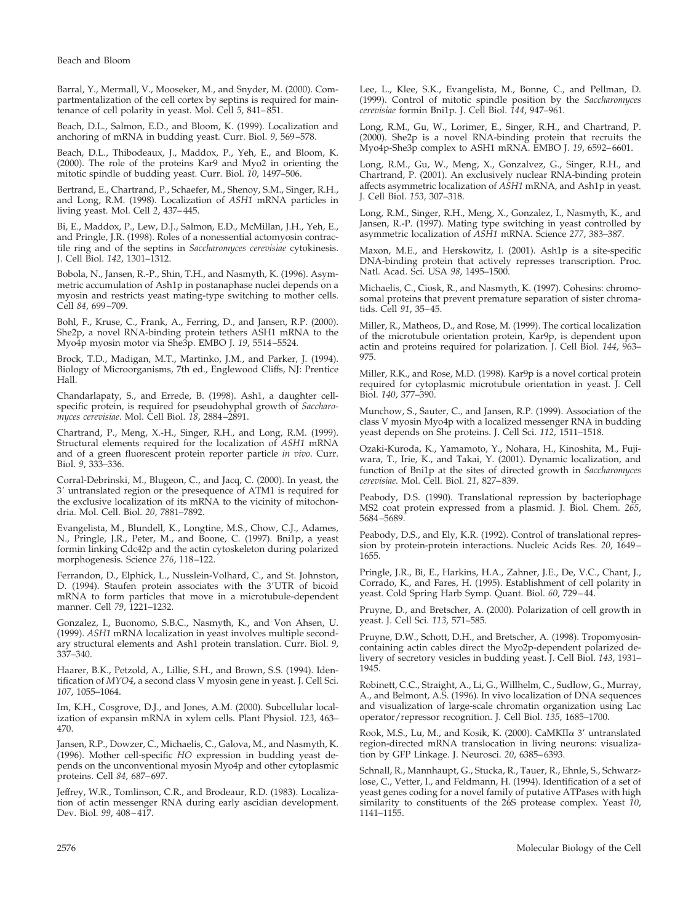Barral, Y., Mermall, V., Mooseker, M., and Snyder, M. (2000). Compartmentalization of the cell cortex by septins is required for maintenance of cell polarity in yeast. Mol. Cell *5*, 841–851.

Beach, D.L., Salmon, E.D., and Bloom, K. (1999). Localization and anchoring of mRNA in budding yeast. Curr. Biol. *9*, 569–578.

Beach, D.L., Thibodeaux, J., Maddox, P., Yeh, E., and Bloom, K. (2000). The role of the proteins Kar9 and Myo2 in orienting the mitotic spindle of budding yeast. Curr. Biol. *10*, 1497–506.

Bertrand, E., Chartrand, P., Schaefer, M., Shenoy, S.M., Singer, R.H., and Long, R.M. (1998). Localization of *ASH1* mRNA particles in living yeast. Mol. Cell *2*, 437–445.

Bi, E., Maddox, P., Lew, D.J., Salmon, E.D., McMillan, J.H., Yeh, E., and Pringle, J.R. (1998). Roles of a nonessential actomyosin contractile ring and of the septins in *Saccharomyces cerevisiae* cytokinesis. J. Cell Biol. *142*, 1301–1312.

Bobola, N., Jansen, R.-P., Shin, T.H., and Nasmyth, K. (1996). Asymmetric accumulation of Ash1p in postanaphase nuclei depends on a myosin and restricts yeast mating-type switching to mother cells. Cell *84*, 699–709.

Bohl, F., Kruse, C., Frank, A., Ferring, D., and Jansen, R.P. (2000). She2p, a novel RNA-binding protein tethers ASH1 mRNA to the Myo4p myosin motor via She3p. EMBO J. *19*, 5514–5524.

Brock, T.D., Madigan, M.T., Martinko, J.M., and Parker, J. (1994). Biology of Microorganisms, 7th ed., Englewood Cliffs, NJ: Prentice Hall.

Chandarlapaty, S., and Errede, B. (1998). Ash1, a daughter cellspecific protein, is required for pseudohyphal growth of *Saccharomyces cerevisiae*. Mol. Cell Biol. *18*, 2884–2891.

Chartrand, P., Meng, X.-H., Singer, R.H., and Long, R.M. (1999). Structural elements required for the localization of *ASH1* mRNA and of a green fluorescent protein reporter particle *in vivo*. Curr. Biol. *9*, 333–336.

Corral-Debrinski, M., Blugeon, C., and Jacq, C. (2000). In yeast, the 3 untranslated region or the presequence of ATM1 is required for the exclusive localization of its mRNA to the vicinity of mitochondria. Mol. Cell. Biol. *20*, 7881–7892.

Evangelista, M., Blundell, K., Longtine, M.S., Chow, C.J., Adames, N., Pringle, J.R., Peter, M., and Boone, C. (1997). Bni1p, a yeast formin linking Cdc42p and the actin cytoskeleton during polarized morphogenesis. Science *276*, 118–122.

Ferrandon, D., Elphick, L., Nusslein-Volhard, C., and St. Johnston, D. (1994). Staufen protein associates with the 3'UTR of bicoid mRNA to form particles that move in a microtubule-dependent manner. Cell *79*, 1221–1232.

Gonzalez, I., Buonomo, S.B.C., Nasmyth, K., and Von Ahsen, U. (1999). *ASH1* mRNA localization in yeast involves multiple secondary structural elements and Ash1 protein translation. Curr. Biol. *9*, 337–340.

Haarer, B.K., Petzold, A., Lillie, S.H., and Brown, S.S. (1994). Identification of *MYO4*, a second class V myosin gene in yeast. J. Cell Sci. *107*, 1055–1064.

Im, K.H., Cosgrove, D.J., and Jones, A.M. (2000). Subcellular localization of expansin mRNA in xylem cells. Plant Physiol. *123*, 463– 470.

Jansen, R.P., Dowzer, C., Michaelis, C., Galova, M., and Nasmyth, K. (1996). Mother cell-specific *HO* expression in budding yeast depends on the unconventional myosin Myo4p and other cytoplasmic proteins. Cell *84*, 687–697.

Jeffrey, W.R., Tomlinson, C.R., and Brodeaur, R.D. (1983). Localization of actin messenger RNA during early ascidian development. Dev. Biol. *99*, 408–417.

Lee, L., Klee, S.K., Evangelista, M., Bonne, C., and Pellman, D. (1999). Control of mitotic spindle position by the *Saccharomyces cerevisiae* formin Bni1p. J. Cell Biol. *144*, 947–961.

Long, R.M., Gu, W., Lorimer, E., Singer, R.H., and Chartrand, P. (2000). She2p is a novel RNA-binding protein that recruits the Myo4p-She3p complex to ASH1 mRNA. EMBO J. *19*, 6592–6601.

Long, R.M., Gu, W., Meng, X., Gonzalvez, G., Singer, R.H., and Chartrand, P. (2001). An exclusively nuclear RNA-binding protein affects asymmetric localization of *ASH1* mRNA, and Ash1p in yeast. J. Cell Biol. *153,* 307–318.

Long, R.M., Singer, R.H., Meng, X., Gonzalez, I., Nasmyth, K., and Jansen, R.-P. (1997). Mating type switching in yeast controlled by asymmetric localization of *ASH1* mRNA. Science *277*, 383–387.

Maxon, M.E., and Herskowitz, I. (2001). Ash1p is a site-specific DNA-binding protein that actively represses transcription. Proc. Natl. Acad. Sci. USA *98*, 1495–1500.

Michaelis, C., Ciosk, R., and Nasmyth, K. (1997). Cohesins: chromosomal proteins that prevent premature separation of sister chromatids. Cell *91*, 35–45.

Miller, R., Matheos, D., and Rose, M. (1999). The cortical localization of the microtubule orientation protein, Kar9p, is dependent upon actin and proteins required for polarization. J. Cell Biol. *144*, 963– 975.

Miller, R.K., and Rose, M.D. (1998). Kar9p is a novel cortical protein required for cytoplasmic microtubule orientation in yeast. J. Cell Biol. *140*, 377–390.

Munchow, S., Sauter, C., and Jansen, R.P. (1999). Association of the class V myosin Myo4p with a localized messenger RNA in budding yeast depends on She proteins. J. Cell Sci. *112*, 1511–1518.

Ozaki-Kuroda, K., Yamamoto, Y., Nohara, H., Kinoshita, M., Fujiwara, T., Irie, K., and Takai, Y. (2001). Dynamic localization, and function of Bni1p at the sites of directed growth in *Saccharomyces cerevisiae*. Mol. Cell. Biol. *21*, 827–839.

Peabody, D.S. (1990). Translational repression by bacteriophage MS2 coat protein expressed from a plasmid. J. Biol. Chem. *265*, 5684–5689.

Peabody, D.S., and Ely, K.R. (1992). Control of translational repression by protein-protein interactions. Nucleic Acids Res. *20*, 1649– 1655.

Pringle, J.R., Bi, E., Harkins, H.A., Zahner, J.E., De, V.C., Chant, J., Corrado, K., and Fares, H. (1995). Establishment of cell polarity in yeast. Cold Spring Harb Symp. Quant. Biol. *60*, 729–44.

Pruyne, D., and Bretscher, A. (2000). Polarization of cell growth in yeast. J. Cell Sci. *113*, 571–585.

Pruyne, D.W., Schott, D.H., and Bretscher, A. (1998). Tropomyosincontaining actin cables direct the Myo2p-dependent polarized delivery of secretory vesicles in budding yeast. J. Cell Biol. *143*, 1931– 1945.

Robinett, C.C., Straight, A., Li, G., Willhelm, C., Sudlow, G., Murray, A., and Belmont, A.S. (1996). In vivo localization of DNA sequences and visualization of large-scale chromatin organization using Lac operator/repressor recognition. J. Cell Biol. *135*, 1685–1700.

Rook, M.S., Lu, M., and Kosik, K. (2000). CaMKII $\alpha$  3' untranslated region-directed mRNA translocation in living neurons: visualization by GFP Linkage. J. Neurosci. *20*, 6385–6393.

Schnall, R., Mannhaupt, G., Stucka, R., Tauer, R., Ehnle, S., Schwarzlose, C., Vetter, I., and Feldmann, H. (1994). Identification of a set of yeast genes coding for a novel family of putative ATPases with high similarity to constituents of the 26S protease complex. Yeast *10*, 1141–1155.